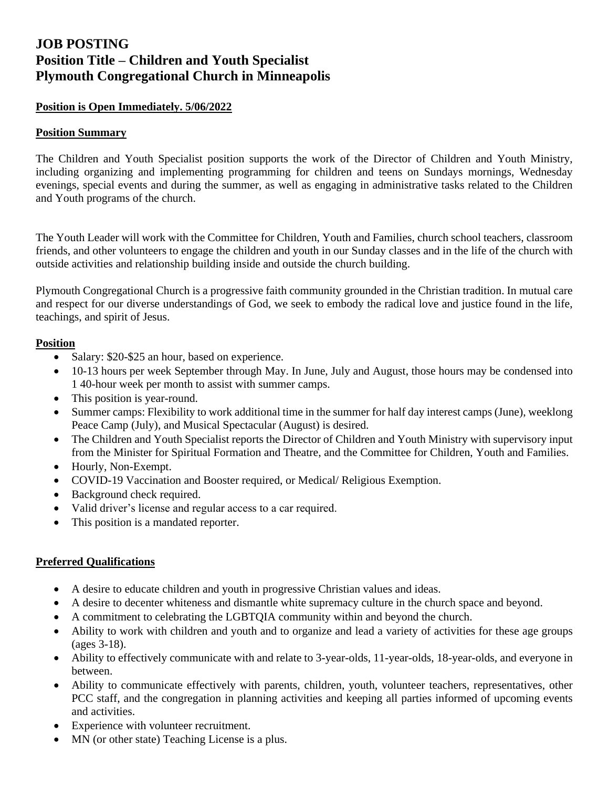# **JOB POSTING Position Title – Children and Youth Specialist Plymouth Congregational Church in Minneapolis**

### **Position is Open Immediately. 5/06/2022**

#### **Position Summary**

The Children and Youth Specialist position supports the work of the Director of Children and Youth Ministry, including organizing and implementing programming for children and teens on Sundays mornings, Wednesday evenings, special events and during the summer, as well as engaging in administrative tasks related to the Children and Youth programs of the church.

The Youth Leader will work with the Committee for Children, Youth and Families, church school teachers, classroom friends, and other volunteers to engage the children and youth in our Sunday classes and in the life of the church with outside activities and relationship building inside and outside the church building.

Plymouth Congregational Church is a progressive faith community grounded in the Christian tradition. In mutual care and respect for our diverse understandings of God, we seek to embody the radical love and justice found in the life, teachings, and spirit of Jesus.

#### **Position**

- Salary: \$20-\$25 an hour, based on experience.
- 10-13 hours per week September through May. In June, July and August, those hours may be condensed into 1 40-hour week per month to assist with summer camps.
- This position is year-round.
- Summer camps: Flexibility to work additional time in the summer for half day interest camps (June), weeklong Peace Camp (July), and Musical Spectacular (August) is desired.
- The Children and Youth Specialist reports the Director of Children and Youth Ministry with supervisory input from the Minister for Spiritual Formation and Theatre, and the Committee for Children, Youth and Families.
- Hourly, Non-Exempt.
- COVID-19 Vaccination and Booster required, or Medical/ Religious Exemption.
- Background check required.
- Valid driver's license and regular access to a car required.
- This position is a mandated reporter.

#### **Preferred Qualifications**

- A desire to educate children and youth in progressive Christian values and ideas.
- A desire to decenter whiteness and dismantle white supremacy culture in the church space and beyond.
- A commitment to celebrating the LGBTQIA community within and beyond the church.
- Ability to work with children and youth and to organize and lead a variety of activities for these age groups (ages 3-18).
- Ability to effectively communicate with and relate to 3-year-olds, 11-year-olds, 18-year-olds, and everyone in between.
- Ability to communicate effectively with parents, children, youth, volunteer teachers, representatives, other PCC staff, and the congregation in planning activities and keeping all parties informed of upcoming events and activities.
- Experience with volunteer recruitment.
- MN (or other state) Teaching License is a plus.